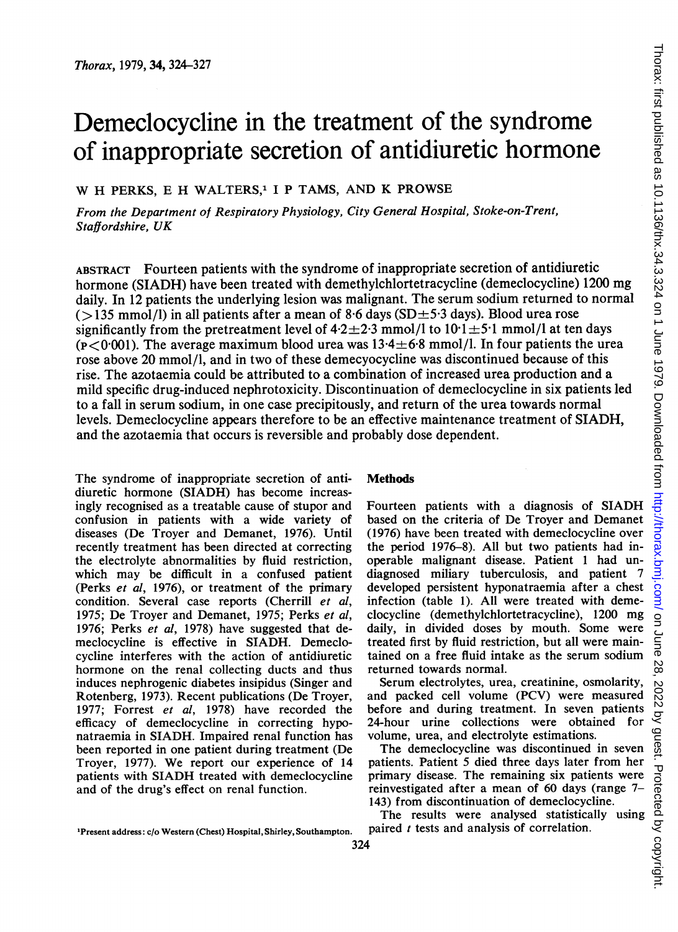# Demeclocycline in the treatment of the syndrome of inappropriate secretion of antidiuretic hormone

W H PERKS, E H WALTERS,<sup>1</sup> I P TAMS, AND K PROWSE

From the Department of Respiratory Physiology, City General Hospital, Stoke-on-Trent, Staffordshire, UK

ABSTRACT Fourteen patients with the syndrome of inappropriate secretion of antidiuretic hormone (SIADH) have been treated with demethylchlortetracycline (demeclocycline) <sup>1200</sup> mg daily. In 12 patients the underlying lesion was malignant. The serum sodium returned to normal  $(>135 \text{ mmol/l})$  in all patients after a mean of 8.6 days (SD $\pm$ 5.3 days). Blood urea rose significantly from the pretreatment level of  $4.2 \pm 2.3$  mmol/l to  $10.1 \pm 5.1$  mmol/l at ten days  $(p<0.001)$ . The average maximum blood urea was  $13.4 \pm 6.8$  mmol/l. In four patients the urea rose above 20 mmol/l, and in two of these demecyocycline was discontinued because of this rise. The azotaemia could be attributed to a combination of increased urea production and a mild specific drug-induced nephrotoxicity. Discontinuation of demeclocycline in six patients led to a fall in serum sodium, in one case precipitously, and return of the urea towards normal levels. Demeclocycline appears therefore to be an effective maintenance treatment of SIADH, and the azotaemia that occurs is reversible and probably dose dependent.

The syndrome of inappropriate secretion of antidiuretic hormone (SIADH) has become increasingly recognised as a treatable cause of stupor and confusion in patients with a wide variety of diseases (De Troyer and Demanet, 1976). Until recently treatment has been directed at correcting the electrolyte abnormalities by fluid restriction, which may be difficult in a confused patient (Perks et al, 1976), or treatment of the primary condition. Several case reports (Cherrill et al, 1975; De Troyer and Demanet, 1975; Perks et al, 1976; Perks et al, 1978) have suggested that demeclocycline is effective in SIADH. Demeclocycline interferes with the action of antidiuretic hormone on the renal collecting ducts and thus induces nephrogenic diabetes insipidus (Singer and Rotenberg, 1973). Recent publications (De Troyer, 1977; Forrest et al, 1978) have recorded the efficacy of demeclocycline in correcting hyponatraemia in SIADH. Impaired renal function has been reported in one patient during treatment (De Troyer, 1977). We report our experience of <sup>14</sup> patients with SIADH treated with demeclocycline and of the drug's effect on renal function.

## Methods

Fourteen patients with <sup>a</sup> diagnosis of SIADH based on the criteria of De Troyer and Demanet (1976) have been treated with demeclocycline over the period 1976-8). All but two patients had inoperable malignant disease. Patient <sup>1</sup> had undiagnosed miliary tuberculosis, and patient 7 developed persistent hyponatraemia after a chest infection (table 1). All were treated with demeclocycline (demethylchlortetracycline), 1200 mg daily, in divided doses by mouth. Some were treated first by fluid restriction, but all were maintained on a free fluid intake as the serum sodium returned towards normal.

Serum electrolytes, urea, creatinine, osmolarity, and packed cell volume (PCV) were measured before and during treatment. In seven patients 24-hour urine collections were obtained for volume, urea, and electrolyte estimations.

The demeclocycline was discontinued in seven patients. Patient 5 died three days later from her primary disease. The remaining six patients were reinvestigated after a mean of 60 days (range 7- 143) from discontinuation of demeclocycline.

The results were analysed statistically using paired  $t$  tests and analysis of correlation.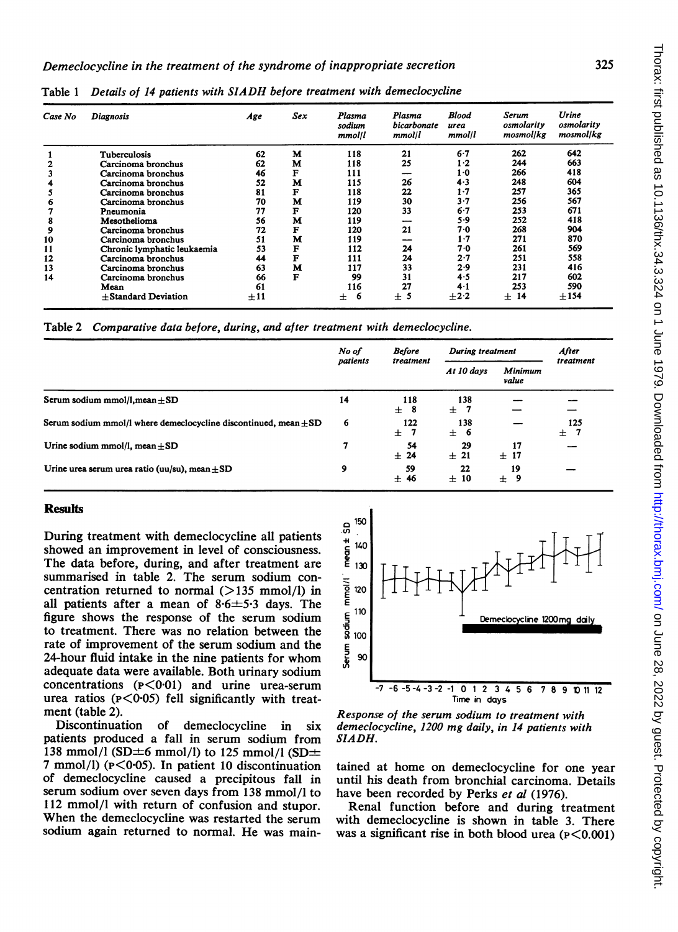| Case No | <b>Diagnosis</b>            | Age      | <b>Sex</b> | Plasma<br>sodium<br>mmol/l | Plasma<br>bicarbonate<br>mmol/l | Blood<br>urea<br>mmol/l | Serum<br>osmolarity<br>mosmol/kg | Urine<br>osmolarity<br>mosmol/kg |
|---------|-----------------------------|----------|------------|----------------------------|---------------------------------|-------------------------|----------------------------------|----------------------------------|
|         | Tuberculosis                | 62       | М          | 118                        | 21                              | 6.7                     | 262                              | 642                              |
|         | Carcinoma bronchus          | 62       | М          | 118                        | 25                              | $1-2$                   | 244                              | 663                              |
|         | Carcinoma bronchus          | 46       | F          | 111                        | ---                             | $1-0$                   | 266                              | 418                              |
|         | Carcinoma bronchus          | 52       | М          | 115                        | 26                              | 4.3                     | 248                              | 604                              |
| C.      | Carcinoma bronchus          | 81       | F          | 118                        | 22                              | 1.7                     | 257                              | 365                              |
| 6       | Carcinoma bronchus          | 70       | М          | 119                        | 30                              | $3 - 7$                 | 256                              | 567                              |
|         | Pneumonia                   | 77       | F          | 120                        | 33                              | 6.7                     | 253                              | 671                              |
| 8       | Mesothelioma                | 56       | М          | 119                        |                                 | 5.9                     | 252                              | 418                              |
| 9       | Carcinoma bronchus          | 72       | F          | 120                        | 21                              | 7.0                     | 268                              | 904                              |
| 10      | Carcinoma bronchus          | 51       | M          | 119                        | --                              | $1 - 7$                 | 271                              | 870                              |
| 11      | Chronic lymphatic leukaemia | 53       | F          | 112                        | 24                              | 7.0                     | 261                              | 569                              |
| 12      | Carcinoma bronchus          | 44       | F          | 111                        | 24                              | 2.7                     | 251                              | 558                              |
| 13      | Carcinoma bronchus          | 63       | M          | 117                        | 33                              | 2.9                     | 231                              | 416                              |
| 14      | Carcinoma bronchus          | 66       | F          | 99                         | 31                              | 4.5                     | 217                              | 602                              |
|         | Mean                        | 61       |            | 116                        | 27                              | $4-1$                   | 253                              | 590                              |
|         | $+$ Standard Deviation      | $\pm 11$ |            | 6<br>士                     | $\pm$ 5                         | $+2.2$                  | 14<br>士                          | ±154                             |

Table <sup>1</sup> Details of <sup>14</sup> patients with SIADH before treatment with demeclocycline

Table 2 Comparative data before, during, and after treatment with demeclocycline.

|                                                                      | No of<br>patients | <b>Before</b><br>treatment | During treatment |                  | After            |
|----------------------------------------------------------------------|-------------------|----------------------------|------------------|------------------|------------------|
|                                                                      |                   |                            | At 10 days       | Minimum<br>value | treatment        |
| Serum sodium mmol/l, mean $\pm$ SD                                   | 14                | 118<br>$\pm$<br>-8         | 138<br>±7        |                  |                  |
| Serum sodium mmol/l where demeclocycline discontinued, mean $\pm$ SD | 6                 | 122<br>$+$<br>-7           | 138<br>± 6       |                  | 125<br>$+$<br>-7 |
| Urine sodium mmol/l, mean $\pm$ SD                                   | 7                 | 54<br>± 24                 | 29<br>± 21       | 17<br>$\pm$ 17   |                  |
| Urine urea serum urea ratio (uu/su), mean $\pm SD$                   | 9                 | 59<br>± 46                 | 22<br>±10        | 19<br>Ŧ<br>9     |                  |

## **Results**

During treatment with demeclocycline all patients showed an improvement in level of consciousness. The data before, during, and after treatment are summarised in table 2. The serum sodium concentration returned to normal  $(>135 \text{ mmol/l})$  in all patients after a mean of  $8.6 \pm 5.3$  days. The figure shows the response of the serum sodium to treatment. There was no relation between the rate of improvement of the serum sodium and the 24-hour fluid intake in the nine patients for whom adequate data were available. Both urinary sodium concentrations  $(P<0.01)$  and urine urea-serum urea ratios ( $P < 0.05$ ) fell significantly with treatment (table 2).

Discontinuation of demeclocycline in six patients produced a fall in serum sodium from 138 mmol/l (SD $\pm$ 6 mmol/l) to 125 mmol/l (SD $\pm$ 7 mmol/l) ( $p < 0.05$ ). In patient 10 discontinuation of demeclocycline caused a precipitous fall in serum sodium over seven days from 138 mmol/l to 112 mmol/l with return of confusion and stupor. When the demeclocycline was restarted the serum sodium again returned to normal. He was main-



Response of the serum sodium to treatment with demeclocycline, 1200 mg daily, in <sup>14</sup> patients with SIADH.

tained at home on demeclocycline for one year until his death from bronchial carcinoma. Details have been recorded by Perks et al (1976).

Renal function before and during treatment with demeclocycline is shown in table 3. There was a significant rise in both blood urea  $(p<0.001)$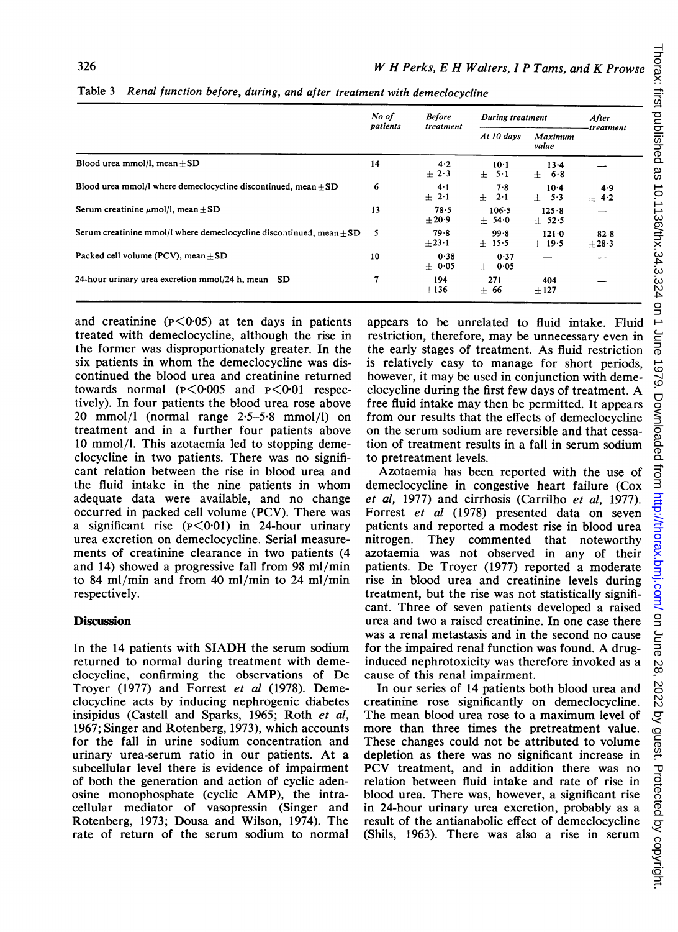|                                                                       | No of | <b>Before</b><br>During treatment<br>patients<br>treatment<br>At 10 days<br>value |                     |                      | After<br>treatment |
|-----------------------------------------------------------------------|-------|-----------------------------------------------------------------------------------|---------------------|----------------------|--------------------|
|                                                                       |       |                                                                                   | Maximum             |                      |                    |
| Blood urea mmol/l, mean $\pm$ SD                                      | 14    | 4.2<br>$\pm 2.3$                                                                  | $10-1$<br>$+$ 5 1   | $13 - 4$<br>$+$ 68   |                    |
| Blood urea mmol/l where demeclocycline discontinued, mean $+SD$       | 6     | 4.1<br>$\pm$ 2.1                                                                  | 7.8<br>$\pm$ 2.1    | $10-4$<br>$+ 5.3$    | 4.9<br>± 4.2       |
| Serum creatinine $\mu$ mol/l. mean + SD                               | 13    | 78.5<br>$+20.9$                                                                   | 106.5<br>± 54.0     | 125.8<br>$+52.5$     |                    |
| Serum creatinine mmol/l where demeclocycline discontinued, mean $+SD$ | 5     | 79.8<br>$\pm 23.1$                                                                | 99.8<br>$+15.5$     | $121 - 0$<br>$+19.5$ | 828<br>$+28.3$     |
| Packed cell volume (PCV), mean $+SD$                                  | 10    | 0.38<br>$+ 0.05$                                                                  | 0.37<br>0.05<br>$+$ |                      |                    |
| 24-hour urinary urea excretion mmol/24 h. mean $+SD$                  | 7     | 194<br>$+136$                                                                     | 271<br>$+66$        | 404<br>$+127$        |                    |

Table 3 Renal function before, during, and after treatment with demeclocycline

and creatinine  $(p<0.05)$  at ten days in patients treated with demeclocycline, although the rise in the former was disproportionately greater. In the six patients in whom the demeclocycline was discontinued the blood urea and creatinine returned towards normal  $(P < 0.005$  and  $P < 0.01$  respectively). In four patients the blood urea rose above 20 mmol/l (normal range  $2.5-5.8$  mmol/l) on treatment and in a further four patients above 10 mmol/l. This azotaemia led to stopping demeclocycline in two patients. There was no significant relation between the rise in blood urea and the fluid intake in the nine patients in whom adequate data were available, and no change occurred in packed cell volume (PCV). There was a significant rise  $(P < 0.01)$  in 24-hour urinary urea excretion on demeclocycline. Serial measurements of creatinine clearance in two patients (4 and 14) showed a progressive fall from 98 ml/min to 84 ml/min and from 40 ml/min to 24 ml/min respectively.

## **Discussion**

In the <sup>14</sup> patients with SIADH the serum sodium returned to normal during treatment with demeclocycline, confirming the observations of De Troyer (1977) and Forrest et al (1978). Demeclocycline acts by inducing nephrogenic diabetes insipidus (Castell and Sparks, 1965; Roth et al, 1967; Singer and Rotenberg, 1973), which accounts for the fall in urine sodium concentration and urinary urea-serum ratio in our patients. At a subcellular level there is evidence of impairment of both the generation and action of cyclic adenosine monophosphate (cyclic AMP), the intracellular mediator of vasopressin (Singer and Rotenberg, 1973; Dousa and Wilson, 1974). The rate of return of the serum sodium to normal appears to be unrelated to fluid intake. Fluid restriction, therefore, may be unnecessary even in the early stages of treatment. As fluid restriction is relatively easy to manage for short periods, however, it may be used in conjunction with demeclocycline during the first few days of treatment. A free fluid intake may then be permitted. It appears from our results that the effects of demeclocycline on the serum sodium are reversible and that cessation of treatment results in a fall in serum sodium to pretreatment levels.

Azotaemia has been reported with the use of demeclocycline in congestive heart failure (Cox et al, 1977) and cirrhosis (Carrilho et al, 1977). Forrest et al (1978) presented data on seven patients and reported a modest rise in blood urea nitrogen. They commented that noteworthy azotaemia was not observed in any of their patients. De Troyer (1977) reported a moderate rise in blood urea and creatinine levels during treatment, but the rise was not statistically significant. Three of seven patients developed a raised urea and two a raised creatinine. In one case there was a renal metastasis and in the second no cause for the impaired renal function was found. A druginduced nephrotoxicity was therefore invoked as a cause of this renal impairment.

In our series of 14 patients both blood urea and creatinine rose significantly on demeclocycline. The mean blood urea rose to a maximum level of more than three times the pretreatment value. These changes could not be attributed to volume depletion as there was no significant increase in PCV treatment, and in addition there was no relation between fluid intake and rate of rise in blood urea. There was, however, a significant rise in 24-hour urinary urea excretion, probably as a result of the antianabolic effect of demeclocycline (Shils, 1963). There was also a rise in serum